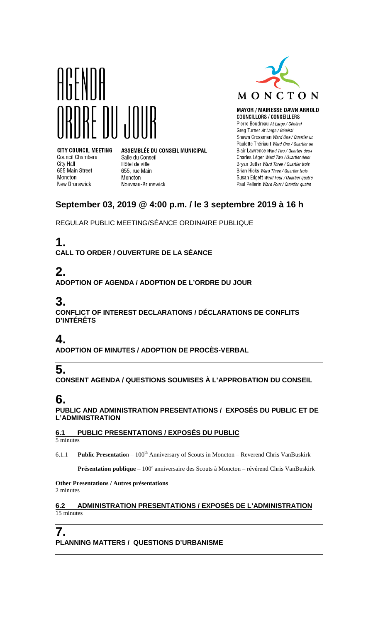



**MAYOR / MAIRESSE DAWN ARNOLD COUNCILLORS / CONSEILLERS** Pierre Boudreau At Large / Général Greg Turner At Large / Général Shawn Crossman Ward One / Quartier un Paulette Thériault Ward One / Quartier un Blair Lawrence Ward Two / Quartier deux Charles Léger Ward Two / Quartier deux Bryan Butler Ward Three / Quartier trois Brian Hicks Ward Three / Quartier trois Susan Edgett Ward Four / Quartier quatre Paul Pellerin Ward Four / Quartier quatre

**CITY COUNCIL MEETING Council Chambers** City Hall 655 Main Street Moncton **New Brunswick** 

ASSEMBLÉE DU CONSEIL MUNICIPAL Salle du Conseil Hôtel de ville 655, rue Main Moncton Nouveau-Brunswick

### **September 03, 2019 @ 4:00 p.m. / le 3 septembre 2019 à 16 h**

REGULAR PUBLIC MEETING/SÉANCE ORDINAIRE PUBLIQUE

# **1.**

**CALL TO ORDER / OUVERTURE DE LA SÉANCE**

# **2.**

**ADOPTION OF AGENDA / ADOPTION DE L'ORDRE DU JOUR**

# **3.**

**CONFLICT OF INTEREST DECLARATIONS / DÉCLARATIONS DE CONFLITS D'INTÉRÊTS**

## **4.**

**ADOPTION OF MINUTES / ADOPTION DE PROCÈS-VERBAL**

## **5.**

**CONSENT AGENDA / QUESTIONS SOUMISES À L'APPROBATION DU CONSEIL**

### **6.**

**PUBLIC AND ADMINISTRATION PRESENTATIONS / EXPOSÉS DU PUBLIC ET DE L'ADMINISTRATION**

#### **6.1 PUBLIC PRESENTATIONS / EXPOSÉS DU PUBLIC**

5 minutes

6.1.1 **Public Presentatio**n – 100<sup>th</sup> Anniversary of Scouts in Moncton – Reverend Chris VanBuskirk

**Présentation publique** – 100<sup>e</sup> anniversaire des Scouts à Moncton – révérend Chris VanBuskirk

**Other Presentations / Autres présentations** 2 minutes

#### **6.2 ADMINISTRATION PRESENTATIONS / EXPOSÉS DE L'ADMINISTRATION** 15 minutes

## **7.**

**PLANNING MATTERS / QUESTIONS D'URBANISME**